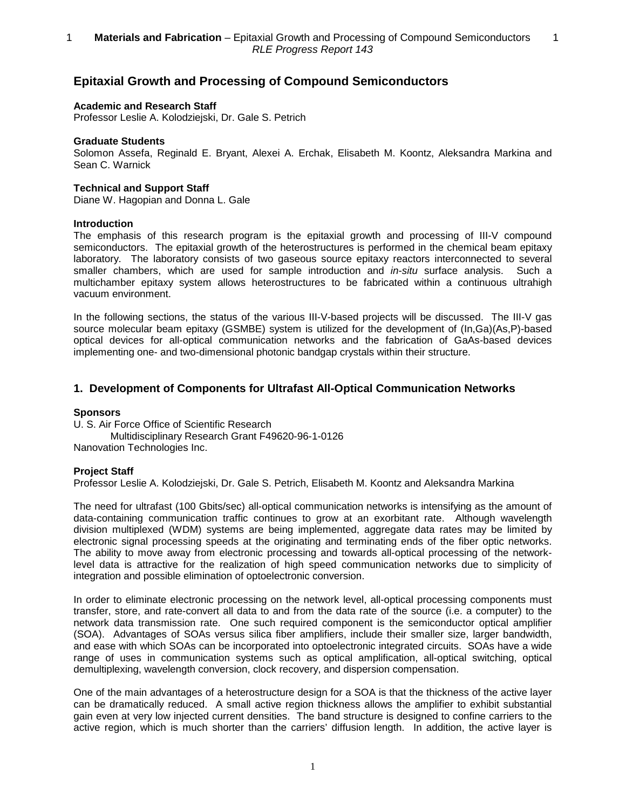# **Epitaxial Growth and Processing of Compound Semiconductors**

## **Academic and Research Staff**

Professor Leslie A. Kolodziejski, Dr. Gale S. Petrich

## **Graduate Students**

Solomon Assefa, Reginald E. Bryant, Alexei A. Erchak, Elisabeth M. Koontz, Aleksandra Markina and Sean C. Warnick

## **Technical and Support Staff**

Diane W. Hagopian and Donna L. Gale

## **Introduction**

The emphasis of this research program is the epitaxial growth and processing of III-V compound semiconductors. The epitaxial growth of the heterostructures is performed in the chemical beam epitaxy laboratory. The laboratory consists of two gaseous source epitaxy reactors interconnected to several smaller chambers, which are used for sample introduction and *in-situ* surface analysis. Such a multichamber epitaxy system allows heterostructures to be fabricated within a continuous ultrahigh vacuum environment.

In the following sections, the status of the various III-V-based projects will be discussed. The III-V gas source molecular beam epitaxy (GSMBE) system is utilized for the development of (In,Ga)(As,P)-based optical devices for all-optical communication networks and the fabrication of GaAs-based devices implementing one- and two-dimensional photonic bandgap crystals within their structure.

## **1. Development of Components for Ultrafast All-Optical Communication Networks**

## **Sponsors**

U. S. Air Force Office of Scientific Research Multidisciplinary Research Grant F49620-96-1-0126 Nanovation Technologies Inc.

## **Project Staff**

Professor Leslie A. Kolodziejski, Dr. Gale S. Petrich, Elisabeth M. Koontz and Aleksandra Markina

The need for ultrafast (100 Gbits/sec) all-optical communication networks is intensifying as the amount of data-containing communication traffic continues to grow at an exorbitant rate. Although wavelength division multiplexed (WDM) systems are being implemented, aggregate data rates may be limited by electronic signal processing speeds at the originating and terminating ends of the fiber optic networks. The ability to move away from electronic processing and towards all-optical processing of the networklevel data is attractive for the realization of high speed communication networks due to simplicity of integration and possible elimination of optoelectronic conversion.

In order to eliminate electronic processing on the network level, all-optical processing components must transfer, store, and rate-convert all data to and from the data rate of the source (i.e. a computer) to the network data transmission rate. One such required component is the semiconductor optical amplifier (SOA). Advantages of SOAs versus silica fiber amplifiers, include their smaller size, larger bandwidth, and ease with which SOAs can be incorporated into optoelectronic integrated circuits. SOAs have a wide range of uses in communication systems such as optical amplification, all-optical switching, optical demultiplexing, wavelength conversion, clock recovery, and dispersion compensation.

One of the main advantages of a heterostructure design for a SOA is that the thickness of the active layer can be dramatically reduced. A small active region thickness allows the amplifier to exhibit substantial gain even at very low injected current densities. The band structure is designed to confine carriers to the active region, which is much shorter than the carriers' diffusion length. In addition, the active layer is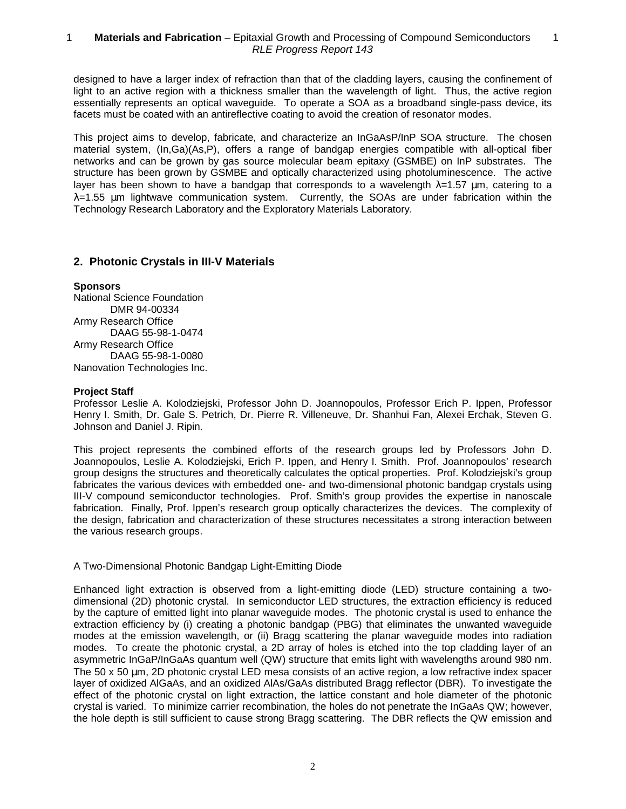designed to have a larger index of refraction than that of the cladding layers, causing the confinement of light to an active region with a thickness smaller than the wavelength of light. Thus, the active region essentially represents an optical waveguide. To operate a SOA as a broadband single-pass device, its facets must be coated with an antireflective coating to avoid the creation of resonator modes.

This project aims to develop, fabricate, and characterize an InGaAsP/InP SOA structure. The chosen material system, (In,Ga)(As,P), offers a range of bandgap energies compatible with all-optical fiber networks and can be grown by gas source molecular beam epitaxy (GSMBE) on InP substrates. The structure has been grown by GSMBE and optically characterized using photoluminescence. The active layer has been shown to have a bandgap that corresponds to a wavelength  $\lambda=1.57$  µm, catering to a  $\lambda$ =1.55 um lightwave communication system. Currently, the SOAs are under fabrication within the Technology Research Laboratory and the Exploratory Materials Laboratory.

## **2. Photonic Crystals in III-V Materials**

## **Sponsors**

National Science Foundation DMR 94-00334 Army Research Office DAAG 55-98-1-0474 Army Research Office DAAG 55-98-1-0080 Nanovation Technologies Inc.

## **Project Staff**

Professor Leslie A. Kolodziejski, Professor John D. Joannopoulos, Professor Erich P. Ippen, Professor Henry I. Smith, Dr. Gale S. Petrich, Dr. Pierre R. Villeneuve, Dr. Shanhui Fan, Alexei Erchak, Steven G. Johnson and Daniel J. Ripin.

This project represents the combined efforts of the research groups led by Professors John D. Joannopoulos, Leslie A. Kolodziejski, Erich P. Ippen, and Henry I. Smith. Prof. Joannopoulos' research group designs the structures and theoretically calculates the optical properties. Prof. Kolodziejski's group fabricates the various devices with embedded one- and two-dimensional photonic bandgap crystals using III-V compound semiconductor technologies. Prof. Smith's group provides the expertise in nanoscale fabrication. Finally, Prof. Ippen's research group optically characterizes the devices. The complexity of the design, fabrication and characterization of these structures necessitates a strong interaction between the various research groups.

## A Two-Dimensional Photonic Bandgap Light-Emitting Diode

Enhanced light extraction is observed from a light-emitting diode (LED) structure containing a twodimensional (2D) photonic crystal. In semiconductor LED structures, the extraction efficiency is reduced by the capture of emitted light into planar waveguide modes. The photonic crystal is used to enhance the extraction efficiency by (i) creating a photonic bandgap (PBG) that eliminates the unwanted waveguide modes at the emission wavelength, or (ii) Bragg scattering the planar waveguide modes into radiation modes. To create the photonic crystal, a 2D array of holes is etched into the top cladding layer of an asymmetric InGaP/InGaAs quantum well (QW) structure that emits light with wavelengths around 980 nm. The 50 x 50 µm, 2D photonic crystal LED mesa consists of an active region, a low refractive index spacer layer of oxidized AlGaAs, and an oxidized AlAs/GaAs distributed Bragg reflector (DBR). To investigate the effect of the photonic crystal on light extraction, the lattice constant and hole diameter of the photonic crystal is varied. To minimize carrier recombination, the holes do not penetrate the InGaAs QW; however, the hole depth is still sufficient to cause strong Bragg scattering. The DBR reflects the QW emission and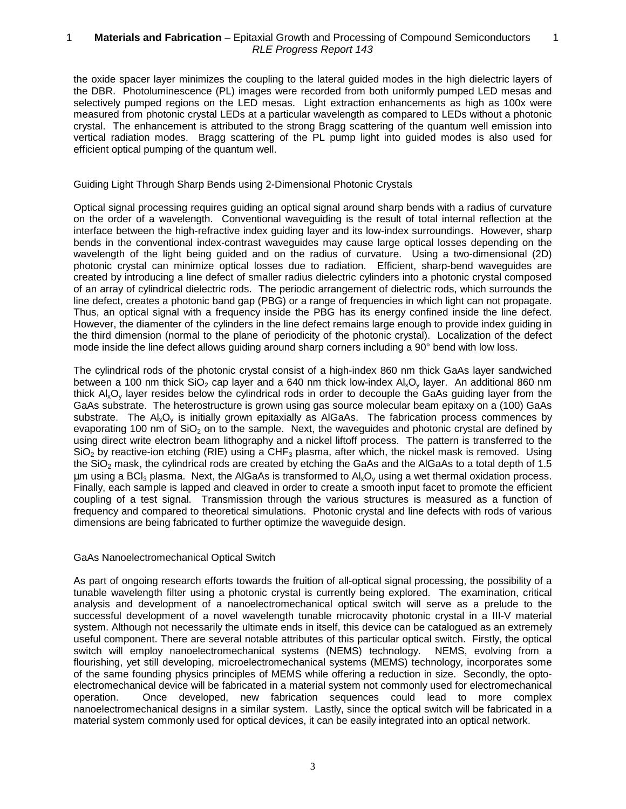#### 1 — **Materials and Fabrication** – Epitaxial Growth and Processing of Compound Semiconductors — 1 RLE Progress Report 143

the oxide spacer layer minimizes the coupling to the lateral guided modes in the high dielectric layers of the DBR. Photoluminescence (PL) images were recorded from both uniformly pumped LED mesas and selectively pumped regions on the LED mesas. Light extraction enhancements as high as 100x were measured from photonic crystal LEDs at a particular wavelength as compared to LEDs without a photonic crystal. The enhancement is attributed to the strong Bragg scattering of the quantum well emission into vertical radiation modes. Bragg scattering of the PL pump light into guided modes is also used for efficient optical pumping of the quantum well.

## Guiding Light Through Sharp Bends using 2-Dimensional Photonic Crystals

Optical signal processing requires guiding an optical signal around sharp bends with a radius of curvature on the order of a wavelength. Conventional waveguiding is the result of total internal reflection at the interface between the high-refractive index guiding layer and its low-index surroundings. However, sharp bends in the conventional index-contrast waveguides may cause large optical losses depending on the wavelength of the light being guided and on the radius of curvature. Using a two-dimensional (2D) photonic crystal can minimize optical losses due to radiation. Efficient, sharp-bend waveguides are created by introducing a line defect of smaller radius dielectric cylinders into a photonic crystal composed of an array of cylindrical dielectric rods. The periodic arrangement of dielectric rods, which surrounds the line defect, creates a photonic band gap (PBG) or a range of frequencies in which light can not propagate. Thus, an optical signal with a frequency inside the PBG has its energy confined inside the line defect. However, the diamenter of the cylinders in the line defect remains large enough to provide index guiding in the third dimension (normal to the plane of periodicity of the photonic crystal). Localization of the defect mode inside the line defect allows guiding around sharp corners including a 90° bend with low loss.

The cylindrical rods of the photonic crystal consist of a high-index 860 nm thick GaAs layer sandwiched between a 100 nm thick  $SiO<sub>2</sub>$  cap layer and a 640 nm thick low-index Al<sub>x</sub>O<sub>y</sub> layer. An additional 860 nm thick  $A\Omega_v$  layer resides below the cylindrical rods in order to decouple the GaAs guiding layer from the GaAs substrate. The heterostructure is grown using gas source molecular beam epitaxy on a (100) GaAs substrate. The  $Al_xO_y$  is initially grown epitaxially as AlGaAs. The fabrication process commences by evaporating 100 nm of  $SiO<sub>2</sub>$  on to the sample. Next, the waveguides and photonic crystal are defined by using direct write electron beam lithography and a nickel liftoff process. The pattern is transferred to the  $SiO<sub>2</sub>$  by reactive-ion etching (RIE) using a CHF<sub>3</sub> plasma, after which, the nickel mask is removed. Using the  $SiO<sub>2</sub>$  mask, the cylindrical rods are created by etching the GaAs and the AlGaAs to a total depth of 1.5  $\mu$ m using a BCl<sub>3</sub> plasma. Next, the AlGaAs is transformed to Al<sub>x</sub>O<sub>v</sub> using a wet thermal oxidation process. Finally, each sample is lapped and cleaved in order to create a smooth input facet to promote the efficient coupling of a test signal. Transmission through the various structures is measured as a function of frequency and compared to theoretical simulations. Photonic crystal and line defects with rods of various dimensions are being fabricated to further optimize the waveguide design.

## GaAs Nanoelectromechanical Optical Switch

As part of ongoing research efforts towards the fruition of all-optical signal processing, the possibility of a tunable wavelength filter using a photonic crystal is currently being explored. The examination, critical analysis and development of a nanoelectromechanical optical switch will serve as a prelude to the successful development of a novel wavelength tunable microcavity photonic crystal in a III-V material system. Although not necessarily the ultimate ends in itself, this device can be catalogued as an extremely useful component. There are several notable attributes of this particular optical switch. Firstly, the optical switch will employ nanoelectromechanical systems (NEMS) technology. NEMS, evolving from a flourishing, yet still developing, microelectromechanical systems (MEMS) technology, incorporates some of the same founding physics principles of MEMS while offering a reduction in size. Secondly, the optoelectromechanical device will be fabricated in a material system not commonly used for electromechanical operation. Once developed, new fabrication sequences could lead to more complex nanoelectromechanical designs in a similar system. Lastly, since the optical switch will be fabricated in a material system commonly used for optical devices, it can be easily integrated into an optical network.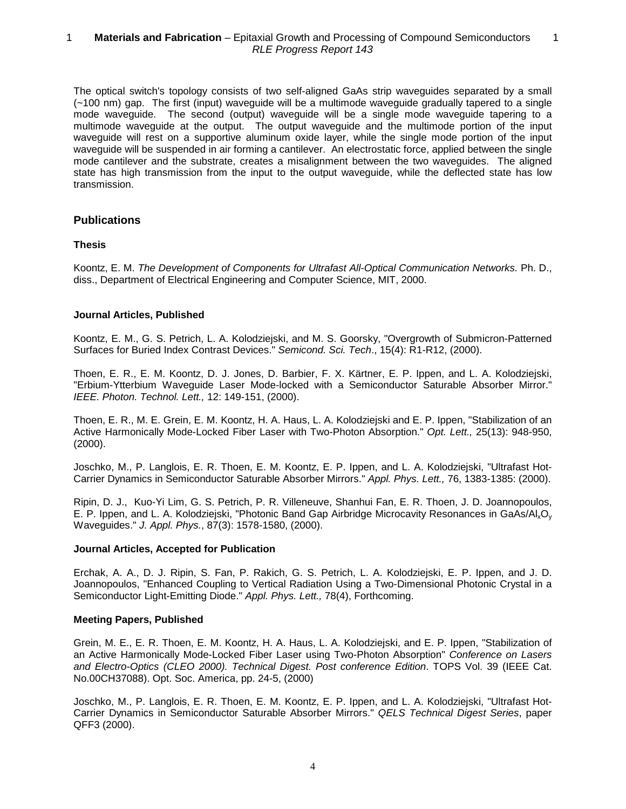#### 1 — **Materials and Fabrication** – Epitaxial Growth and Processing of Compound Semiconductors — 1 RLE Progress Report 143

The optical switch's topology consists of two self-aligned GaAs strip waveguides separated by a small (~100 nm) gap. The first (input) waveguide will be a multimode waveguide gradually tapered to a single mode waveguide. The second (output) waveguide will be a single mode waveguide tapering to a multimode waveguide at the output. The output waveguide and the multimode portion of the input waveguide will rest on a supportive aluminum oxide layer, while the single mode portion of the input waveguide will be suspended in air forming a cantilever. An electrostatic force, applied between the single mode cantilever and the substrate, creates a misalignment between the two waveguides. The aligned state has high transmission from the input to the output waveguide, while the deflected state has low transmission.

## **Publications**

## **Thesis**

Koontz, E. M. The Development of Components for Ultrafast All-Optical Communication Networks. Ph. D., diss., Department of Electrical Engineering and Computer Science, MIT, 2000.

## **Journal Articles, Published**

Koontz, E. M., G. S. Petrich, L. A. Kolodziejski, and M. S. Goorsky, "Overgrowth of Submicron-Patterned Surfaces for Buried Index Contrast Devices." Semicond. Sci. Tech., 15(4): R1-R12, (2000).

Thoen, E. R., E. M. Koontz, D. J. Jones, D. Barbier, F. X. Kärtner, E. P. Ippen, and L. A. Kolodziejski, "Erbium-Ytterbium Waveguide Laser Mode-locked with a Semiconductor Saturable Absorber Mirror." IEEE. Photon. Technol. Lett., 12: 149-151, (2000).

Thoen, E. R., M. E. Grein, E. M. Koontz, H. A. Haus, L. A. Kolodziejski and E. P. Ippen, "Stabilization of an Active Harmonically Mode-Locked Fiber Laser with Two-Photon Absorption." Opt. Lett., 25(13): 948-950, (2000).

Joschko, M., P. Langlois, E. R. Thoen, E. M. Koontz, E. P. Ippen, and L. A. Kolodziejski, "Ultrafast Hot-Carrier Dynamics in Semiconductor Saturable Absorber Mirrors." Appl. Phys. Lett., 76, 1383-1385: (2000).

Ripin, D. J., Kuo-Yi Lim, G. S. Petrich, P. R. Villeneuve, Shanhui Fan, E. R. Thoen, J. D. Joannopoulos, E. P. Ippen, and L. A. Kolodziejski, "Photonic Band Gap Airbridge Microcavity Resonances in GaAs/AlxOy Waveguides." J. Appl. Phys., 87(3): 1578-1580, (2000).

## **Journal Articles, Accepted for Publication**

Erchak, A. A., D. J. Ripin, S. Fan, P. Rakich, G. S. Petrich, L. A. Kolodziejski, E. P. Ippen, and J. D. Joannopoulos, "Enhanced Coupling to Vertical Radiation Using a Two-Dimensional Photonic Crystal in a Semiconductor Light-Emitting Diode." Appl. Phys. Lett., 78(4), Forthcoming.

## **Meeting Papers, Published**

Grein, M. E., E. R. Thoen, E. M. Koontz, H. A. Haus, L. A. Kolodziejski, and E. P. Ippen, "Stabilization of an Active Harmonically Mode-Locked Fiber Laser using Two-Photon Absorption" Conference on Lasers and Electro-Optics (CLEO 2000). Technical Digest. Post conference Edition. TOPS Vol. 39 (IEEE Cat. No.00CH37088). Opt. Soc. America, pp. 24-5, (2000)

Joschko, M., P. Langlois, E. R. Thoen, E. M. Koontz, E. P. Ippen, and L. A. Kolodziejski, "Ultrafast Hot-Carrier Dynamics in Semiconductor Saturable Absorber Mirrors." QELS Technical Digest Series, paper QFF3 (2000).